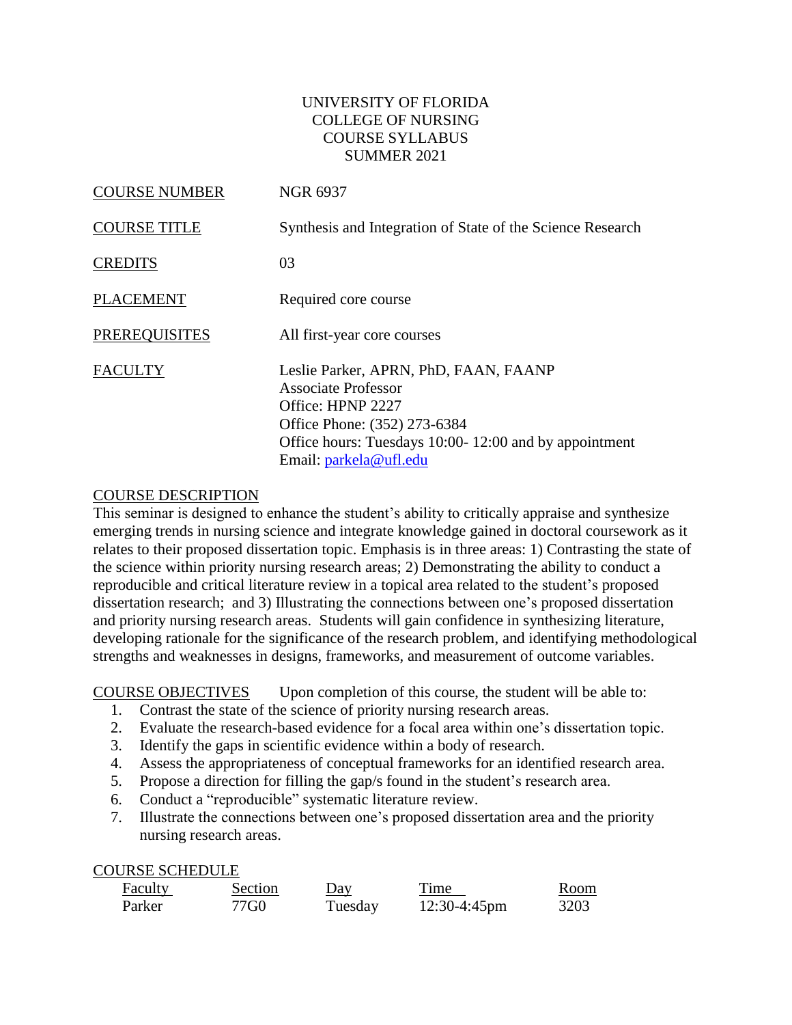### UNIVERSITY OF FLORIDA COLLEGE OF NURSING COURSE SYLLABUS SUMMER 2021

| <b>COURSE NUMBER</b> | <b>NGR 6937</b>                                                                                                                                                                                             |
|----------------------|-------------------------------------------------------------------------------------------------------------------------------------------------------------------------------------------------------------|
| <b>COURSE TITLE</b>  | Synthesis and Integration of State of the Science Research                                                                                                                                                  |
| <b>CREDITS</b>       | 03                                                                                                                                                                                                          |
| <b>PLACEMENT</b>     | Required core course                                                                                                                                                                                        |
| <b>PREREQUISITES</b> | All first-year core courses                                                                                                                                                                                 |
| <b>FACULTY</b>       | Leslie Parker, APRN, PhD, FAAN, FAANP<br><b>Associate Professor</b><br>Office: HPNP 2227<br>Office Phone: (352) 273-6384<br>Office hours: Tuesdays 10:00-12:00 and by appointment<br>Email: parkela@ufl.edu |

#### COURSE DESCRIPTION

This seminar is designed to enhance the student's ability to critically appraise and synthesize emerging trends in nursing science and integrate knowledge gained in doctoral coursework as it relates to their proposed dissertation topic. Emphasis is in three areas: 1) Contrasting the state of the science within priority nursing research areas; 2) Demonstrating the ability to conduct a reproducible and critical literature review in a topical area related to the student's proposed dissertation research; and 3) Illustrating the connections between one's proposed dissertation and priority nursing research areas. Students will gain confidence in synthesizing literature, developing rationale for the significance of the research problem, and identifying methodological strengths and weaknesses in designs, frameworks, and measurement of outcome variables.

COURSE OBJECTIVES Upon completion of this course, the student will be able to:

- 1. Contrast the state of the science of priority nursing research areas.
- 2. Evaluate the research-based evidence for a focal area within one's dissertation topic.
- 3. Identify the gaps in scientific evidence within a body of research.
- 4. Assess the appropriateness of conceptual frameworks for an identified research area.
- 5. Propose a direction for filling the gap/s found in the student's research area.
- 6. Conduct a "reproducible" systematic literature review.
- 7. Illustrate the connections between one's proposed dissertation area and the priority nursing research areas.

#### COURSE SCHEDULE

| Faculty | Section | $Day$   | Time            | Room |
|---------|---------|---------|-----------------|------|
| Parker  | 77G0    | Tuesday | $12:30-4:45$ pm | 3203 |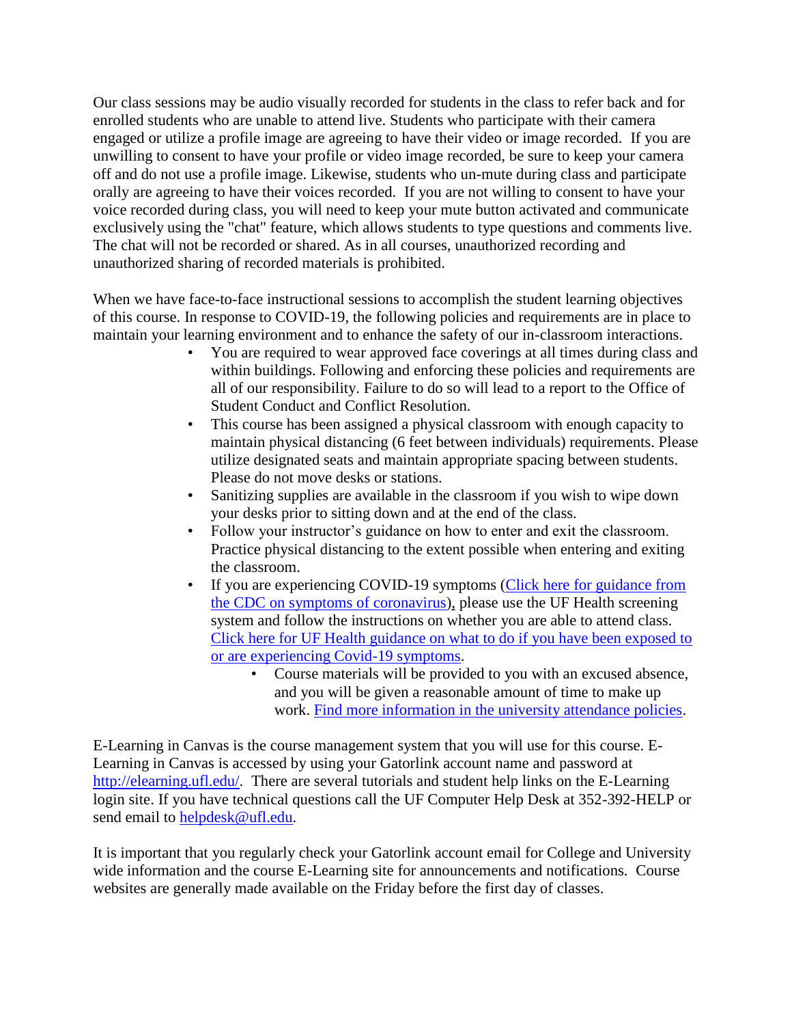Our class sessions may be audio visually recorded for students in the class to refer back and for enrolled students who are unable to attend live. Students who participate with their camera engaged or utilize a profile image are agreeing to have their video or image recorded. If you are unwilling to consent to have your profile or video image recorded, be sure to keep your camera off and do not use a profile image. Likewise, students who un-mute during class and participate orally are agreeing to have their voices recorded. If you are not willing to consent to have your voice recorded during class, you will need to keep your mute button activated and communicate exclusively using the "chat" feature, which allows students to type questions and comments live. The chat will not be recorded or shared. As in all courses, unauthorized recording and unauthorized sharing of recorded materials is prohibited.

When we have face-to-face instructional sessions to accomplish the student learning objectives of this course. In response to COVID-19, the following policies and requirements are in place to maintain your learning environment and to enhance the safety of our in-classroom interactions.

- You are required to wear approved face coverings at all times during class and within buildings. Following and enforcing these policies and requirements are all of our responsibility. Failure to do so will lead to a report to the Office of Student Conduct and Conflict Resolution.
- This course has been assigned a physical classroom with enough capacity to maintain physical distancing (6 feet between individuals) requirements. Please utilize designated seats and maintain appropriate spacing between students. Please do not move desks or stations.
- Sanitizing supplies are available in the classroom if you wish to wipe down your desks prior to sitting down and at the end of the class.
- Follow your instructor's guidance on how to enter and exit the classroom. Practice physical distancing to the extent possible when entering and exiting the classroom.
- If you are experiencing COVID-19 symptoms (Click here for guidance from [the CDC on symptoms of coronavirus\)](https://www.cdc.gov/coronavirus/2019-ncov/symptoms-testing/symptoms.html), please use the UF Health screening system and follow the instructions on whether you are able to attend class. [Click here for UF Health guidance on what to do if you have been exposed to](https://coronavirus.ufhealth.org/screen-test-protect/covid-19-exposure-and-symptoms-who-do-i-call-if/)  [or are experiencing Covid-19 symptoms.](https://coronavirus.ufhealth.org/screen-test-protect/covid-19-exposure-and-symptoms-who-do-i-call-if/)
	- Course materials will be provided to you with an excused absence, and you will be given a reasonable amount of time to make up work. [Find more information in the university attendance policies.](https://catalog.ufl.edu/UGRD/academic-regulations/attendance-policies/)

E-Learning in Canvas is the course management system that you will use for this course. E-Learning in Canvas is accessed by using your Gatorlink account name and password at [http://elearning.ufl.edu/.](http://elearning.ufl.edu/) There are several tutorials and student help links on the E-Learning login site. If you have technical questions call the UF Computer Help Desk at 352-392-HELP or send email to **helpdesk@ufl.edu**.

It is important that you regularly check your Gatorlink account email for College and University wide information and the course E-Learning site for announcements and notifications. Course websites are generally made available on the Friday before the first day of classes.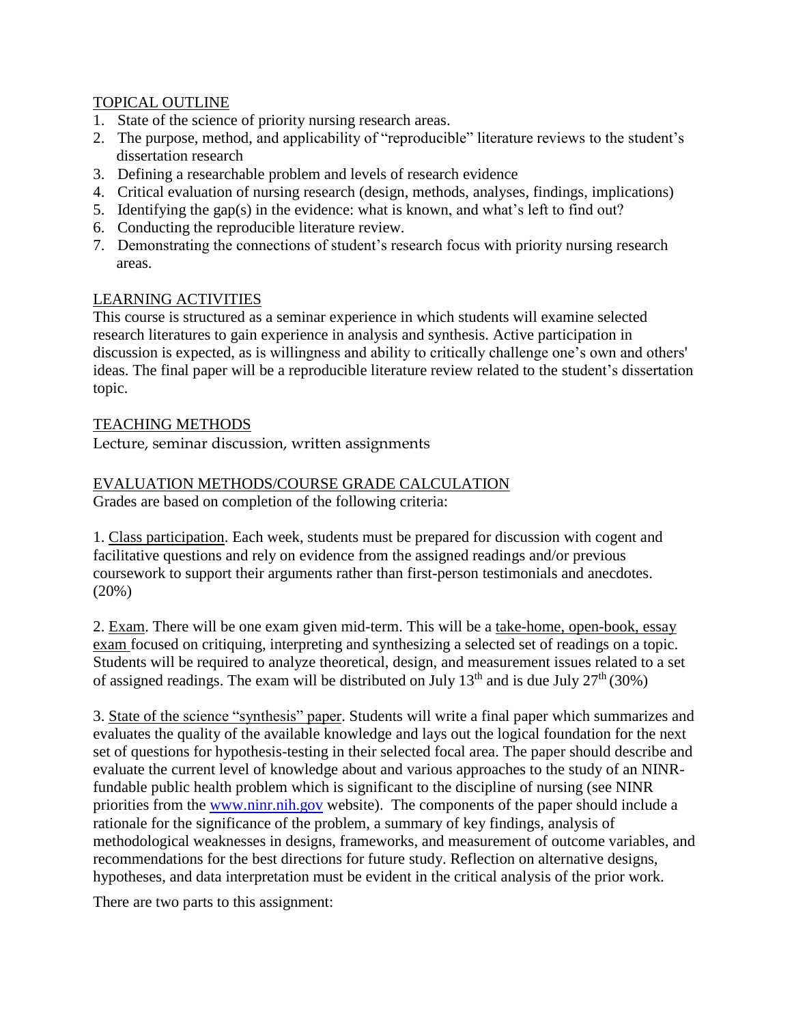### TOPICAL OUTLINE

- 1. State of the science of priority nursing research areas.
- 2. The purpose, method, and applicability of "reproducible" literature reviews to the student's dissertation research
- 3. Defining a researchable problem and levels of research evidence
- 4. Critical evaluation of nursing research (design, methods, analyses, findings, implications)
- 5. Identifying the gap(s) in the evidence: what is known, and what's left to find out?
- 6. Conducting the reproducible literature review.
- 7. Demonstrating the connections of student's research focus with priority nursing research areas.

## LEARNING ACTIVITIES

This course is structured as a seminar experience in which students will examine selected research literatures to gain experience in analysis and synthesis. Active participation in discussion is expected, as is willingness and ability to critically challenge one's own and others' ideas. The final paper will be a reproducible literature review related to the student's dissertation topic.

## TEACHING METHODS

Lecture, seminar discussion, written assignments

# EVALUATION METHODS/COURSE GRADE CALCULATION

Grades are based on completion of the following criteria:

1. Class participation. Each week, students must be prepared for discussion with cogent and facilitative questions and rely on evidence from the assigned readings and/or previous coursework to support their arguments rather than first-person testimonials and anecdotes. (20%)

2. Exam. There will be one exam given mid-term. This will be a take-home, open-book, essay exam focused on critiquing, interpreting and synthesizing a selected set of readings on a topic. Students will be required to analyze theoretical, design, and measurement issues related to a set of assigned readings. The exam will be distributed on July  $13<sup>th</sup>$  and is due July  $27<sup>th</sup>$  (30%)

3. State of the science "synthesis" paper. Students will write a final paper which summarizes and evaluates the quality of the available knowledge and lays out the logical foundation for the next set of questions for hypothesis-testing in their selected focal area. The paper should describe and evaluate the current level of knowledge about and various approaches to the study of an NINRfundable public health problem which is significant to the discipline of nursing (see NINR priorities from the [www.ninr.nih.gov](http://www.ninr.nih.gov/) website). The components of the paper should include a rationale for the significance of the problem, a summary of key findings, analysis of methodological weaknesses in designs, frameworks, and measurement of outcome variables, and recommendations for the best directions for future study. Reflection on alternative designs, hypotheses, and data interpretation must be evident in the critical analysis of the prior work.

There are two parts to this assignment: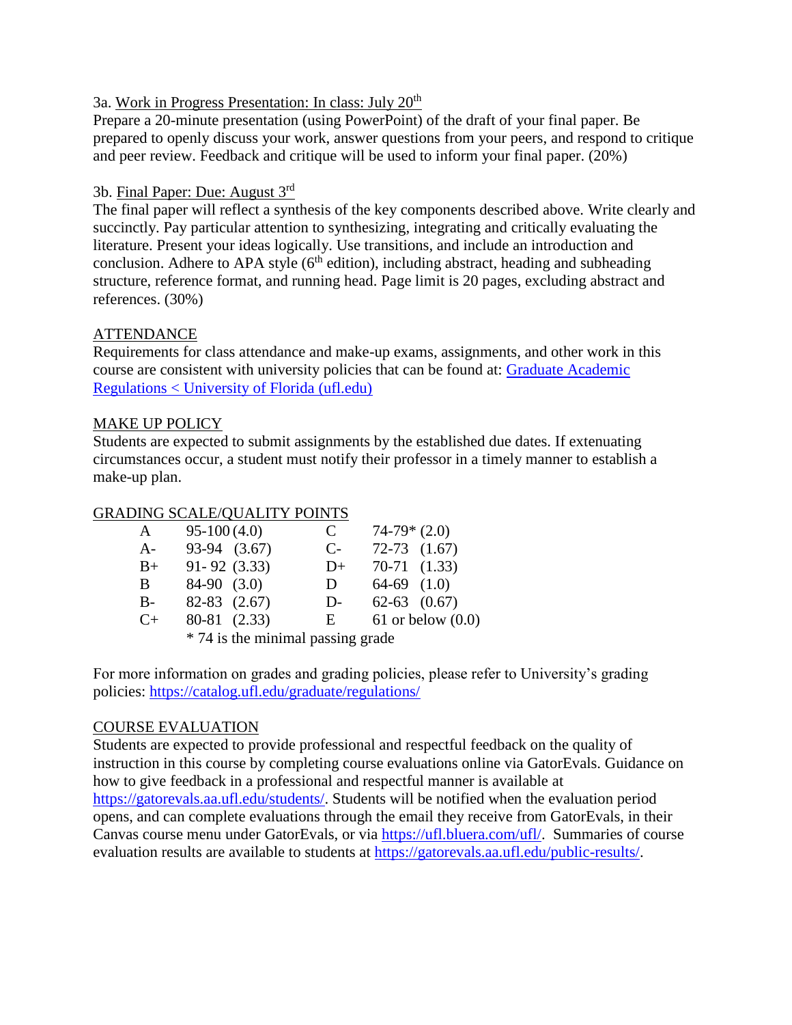### 3a. Work in Progress Presentation: In class: July 20th

Prepare a 20-minute presentation (using PowerPoint) of the draft of your final paper. Be prepared to openly discuss your work, answer questions from your peers, and respond to critique and peer review. Feedback and critique will be used to inform your final paper. (20%)

### 3b. Final Paper: Due: August 3<sup>rd</sup>

The final paper will reflect a synthesis of the key components described above. Write clearly and succinctly. Pay particular attention to synthesizing, integrating and critically evaluating the literature. Present your ideas logically. Use transitions, and include an introduction and conclusion. Adhere to APA style  $(6<sup>th</sup>$  edition), including abstract, heading and subheading structure, reference format, and running head. Page limit is 20 pages, excluding abstract and references. (30%)

### ATTENDANCE

Requirements for class attendance and make-up exams, assignments, and other work in this course are consistent with university policies that can be found at: [Graduate Academic](https://catalog.ufl.edu/graduate/regulations/#text)  [Regulations < University of Florida \(ufl.edu\)](https://catalog.ufl.edu/graduate/regulations/#text)

#### MAKE UP POLICY

Students are expected to submit assignments by the established due dates. If extenuating circumstances occur, a student must notify their professor in a timely manner to establish a make-up plan.

### GRADING SCALE/QUALITY POINTS

|                                   | A            | $95-100(4.0)$    |  | C    | $74-79*(2.0)$    |                     |
|-----------------------------------|--------------|------------------|--|------|------------------|---------------------|
|                                   | $A -$        | 93-94 (3.67)     |  | $C-$ | $72-73$ $(1.67)$ |                     |
|                                   | $B+$         | $91 - 92$ (3.33) |  | $D+$ | $70-71$ $(1.33)$ |                     |
|                                   | <sub>B</sub> | $84-90$ $(3.0)$  |  | D.   | $64-69$ $(1.0)$  |                     |
|                                   | $B -$        | $82-83$ $(2.67)$ |  | $D-$ | $62-63$ $(0.67)$ |                     |
|                                   | $C+$         | 80-81 (2.33)     |  | E    |                  | 61 or below $(0.0)$ |
| * 74 is the minimal passing grade |              |                  |  |      |                  |                     |
|                                   |              |                  |  |      |                  |                     |

For more information on grades and grading policies, please refer to University's grading policies:<https://catalog.ufl.edu/graduate/regulations/>

### COURSE EVALUATION

Students are expected to provide professional and respectful feedback on the quality of instruction in this course by completing course evaluations online via GatorEvals. Guidance on how to give feedback in a professional and respectful manner is available at [https://gatorevals.aa.ufl.edu/students/.](https://gatorevals.aa.ufl.edu/students/) Students will be notified when the evaluation period opens, and can complete evaluations through the email they receive from GatorEvals, in their Canvas course menu under GatorEvals, or via [https://ufl.bluera.com/ufl/.](https://ufl.bluera.com/ufl/) Summaries of course evaluation results are available to students at [https://gatorevals.aa.ufl.edu/public-results/.](https://gatorevals.aa.ufl.edu/public-results/)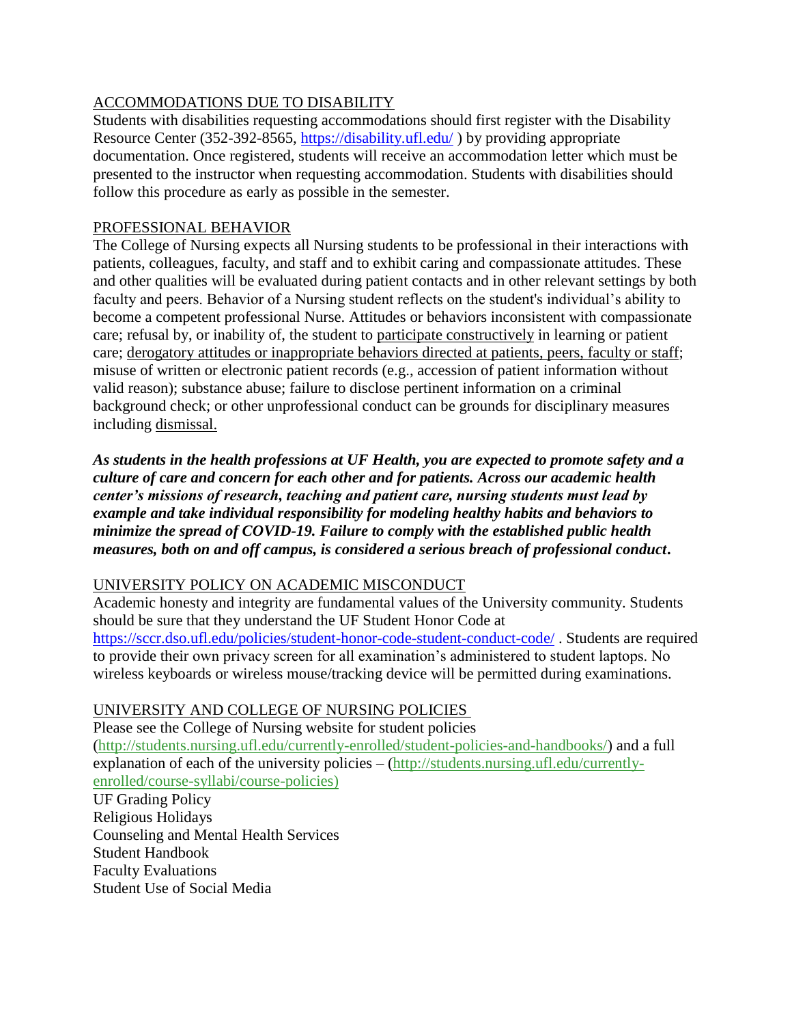### ACCOMMODATIONS DUE TO DISABILITY

Students with disabilities requesting accommodations should first register with the Disability Resource Center (352-392-8565,<https://disability.ufl.edu/> ) by providing appropriate documentation. Once registered, students will receive an accommodation letter which must be presented to the instructor when requesting accommodation. Students with disabilities should follow this procedure as early as possible in the semester.

### PROFESSIONAL BEHAVIOR

The College of Nursing expects all Nursing students to be professional in their interactions with patients, colleagues, faculty, and staff and to exhibit caring and compassionate attitudes. These and other qualities will be evaluated during patient contacts and in other relevant settings by both faculty and peers. Behavior of a Nursing student reflects on the student's individual's ability to become a competent professional Nurse. Attitudes or behaviors inconsistent with compassionate care; refusal by, or inability of, the student to participate constructively in learning or patient care; derogatory attitudes or inappropriate behaviors directed at patients, peers, faculty or staff; misuse of written or electronic patient records (e.g., accession of patient information without valid reason); substance abuse; failure to disclose pertinent information on a criminal background check; or other unprofessional conduct can be grounds for disciplinary measures including dismissal.

*As students in the health professions at UF Health, you are expected to promote safety and a culture of care and concern for each other and for patients. Across our academic health center's missions of research, teaching and patient care, nursing students must lead by example and take individual responsibility for modeling healthy habits and behaviors to minimize the spread of COVID-19. Failure to comply with the established public health measures, both on and off campus, is considered a serious breach of professional conduct***.** 

### UNIVERSITY POLICY ON ACADEMIC MISCONDUCT

Academic honesty and integrity are fundamental values of the University community. Students should be sure that they understand the UF Student Honor Code at <https://sccr.dso.ufl.edu/policies/student-honor-code-student-conduct-code/> . Students are required to provide their own privacy screen for all examination's administered to student laptops. No wireless keyboards or wireless mouse/tracking device will be permitted during examinations.

### UNIVERSITY AND COLLEGE OF NURSING POLICIES

Please see the College of Nursing website for student policies [\(http://students.nursing.ufl.edu/currently-enrolled/student-policies-and-handbooks/\)](http://students.nursing.ufl.edu/currently-enrolled/student-policies-and-handbooks/) and a full explanation of each of the university policies – [\(http://students.nursing.ufl.edu/currently](http://students.nursing.ufl.edu/currently-enrolled/course-syllabi/course-policies)[enrolled/course-syllabi/course-policies\)](http://students.nursing.ufl.edu/currently-enrolled/course-syllabi/course-policies)

UF Grading Policy Religious Holidays Counseling and Mental Health Services Student Handbook Faculty Evaluations Student Use of Social Media